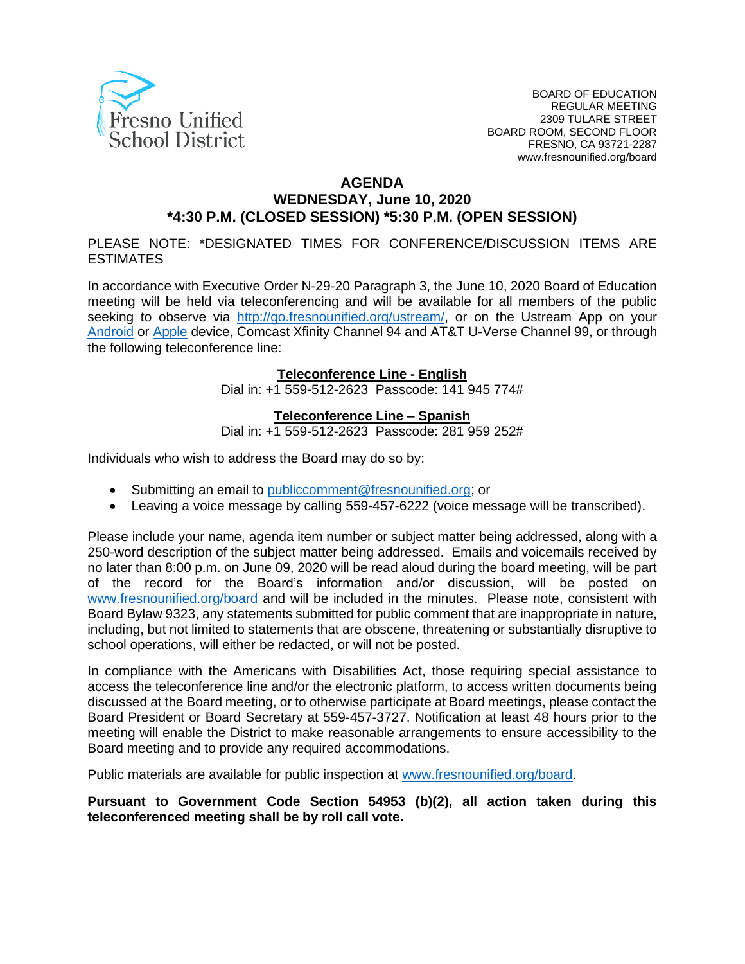

#### **AGENDA WEDNESDAY, June 10, 2020 \*4:30 P.M. (CLOSED SESSION) \*5:30 P.M. (OPEN SESSION)**

PLEASE NOTE: \*DESIGNATED TIMES FOR CONFERENCE/DISCUSSION ITEMS ARE ESTIMATES

In accordance with Executive Order N-29-20 Paragraph 3, the June 10, 2020 Board of Education meeting will be held via teleconferencing and will be available for all members of the public seeking to observe via [http://go.fresnounified.org/ustream/,](http://go.fresnounified.org/ustream/) or on the Ustream App on your [Android](https://play.google.com/store/apps/details?id=tv.ustream.ustream&hl=en_US) or [Apple](https://itunes.apple.com/us/app/ustream/id301520250?mt=8) device, Comcast Xfinity Channel 94 and AT&T U-Verse Channel 99, or through the following teleconference line:

#### **Teleconference Line - English**

Dial in: +1 559-512-2623 Passcode: 141 945 774#

#### **Teleconference Line – Spanish**

Dial in: +1 559-512-2623 Passcode: 281 959 252#

Individuals who wish to address the Board may do so by:

- Submitting an email to [publiccomment@fresnounified.org;](mailto:publiccomment@fresnounified.org) or
- Leaving a voice message by calling 559-457-6222 (voice message will be transcribed).

Please include your name, agenda item number or subject matter being addressed, along with a 250-word description of the subject matter being addressed. Emails and voicemails received by no later than 8:00 p.m. on June 09, 2020 will be read aloud during the board meeting, will be part of the record for the Board's information and/or discussion, will be posted on [www.fresnounified.org/board](http://www.fresnounified.org/board) and will be included in the minutes. Please note, consistent with Board Bylaw 9323, any statements submitted for public comment that are inappropriate in nature, including, but not limited to statements that are obscene, threatening or substantially disruptive to school operations, will either be redacted, or will not be posted.

In compliance with the Americans with Disabilities Act, those requiring special assistance to access the teleconference line and/or the electronic platform, to access written documents being discussed at the Board meeting, or to otherwise participate at Board meetings, please contact the Board President or Board Secretary at 559-457-3727. Notification at least 48 hours prior to the meeting will enable the District to make reasonable arrangements to ensure accessibility to the Board meeting and to provide any required accommodations.

Public materials are available for public inspection at [www.fresnounified.org/board.](http://www.fresnounified.org/board)

**Pursuant to Government Code Section 54953 (b)(2), all action taken during this teleconferenced meeting shall be by roll call vote.**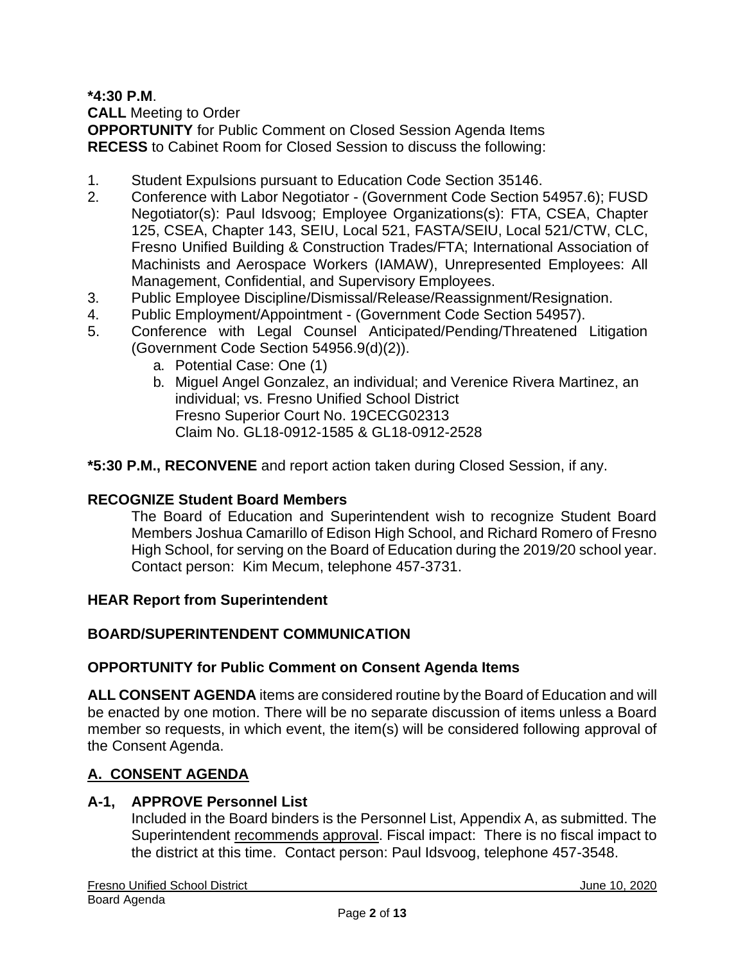**\*4:30 P.M**.

**CALL** Meeting to Order

**OPPORTUNITY** for Public Comment on Closed Session Agenda Items **RECESS** to Cabinet Room for Closed Session to discuss the following:

- 1. Student Expulsions pursuant to Education Code Section 35146.
- 2. Conference with Labor Negotiator (Government Code Section 54957.6); FUSD Negotiator(s): Paul Idsvoog; Employee Organizations(s): FTA, CSEA, Chapter 125, CSEA, Chapter 143, SEIU, Local 521, FASTA/SEIU, Local 521/CTW, CLC, Fresno Unified Building & Construction Trades/FTA; International Association of Machinists and Aerospace Workers (IAMAW), Unrepresented Employees: All Management, Confidential, and Supervisory Employees.
- 3. Public Employee Discipline/Dismissal/Release/Reassignment/Resignation.
- 4. Public Employment/Appointment (Government Code Section 54957).
- 5. Conference with Legal Counsel Anticipated/Pending/Threatened Litigation (Government Code Section 54956.9(d)(2)).
	- a. Potential Case: One (1)
	- b. Miguel Angel Gonzalez, an individual; and Verenice Rivera Martinez, an individual; vs. Fresno Unified School District Fresno Superior Court No. 19CECG02313 Claim No. GL18-0912-1585 & GL18-0912-2528

**\*5:30 P.M., RECONVENE** and report action taken during Closed Session, if any.

# **RECOGNIZE Student Board Members**

The Board of Education and Superintendent wish to recognize Student Board Members Joshua Camarillo of Edison High School, and Richard Romero of Fresno High School, for serving on the Board of Education during the 2019/20 school year. Contact person: Kim Mecum, telephone 457-3731.

### **HEAR Report from Superintendent**

### **BOARD/SUPERINTENDENT COMMUNICATION**

### **OPPORTUNITY for Public Comment on Consent Agenda Items**

**ALL CONSENT AGENDA** items are considered routine by the Board of Education and will be enacted by one motion. There will be no separate discussion of items unless a Board member so requests, in which event, the item(s) will be considered following approval of the Consent Agenda.

# **A. CONSENT AGENDA**

### **A-1, APPROVE Personnel List**

Included in the Board binders is the Personnel List, Appendix A, as submitted. The Superintendent recommends approval. Fiscal impact: There is no fiscal impact to the district at this time. Contact person: Paul Idsvoog, telephone 457-3548.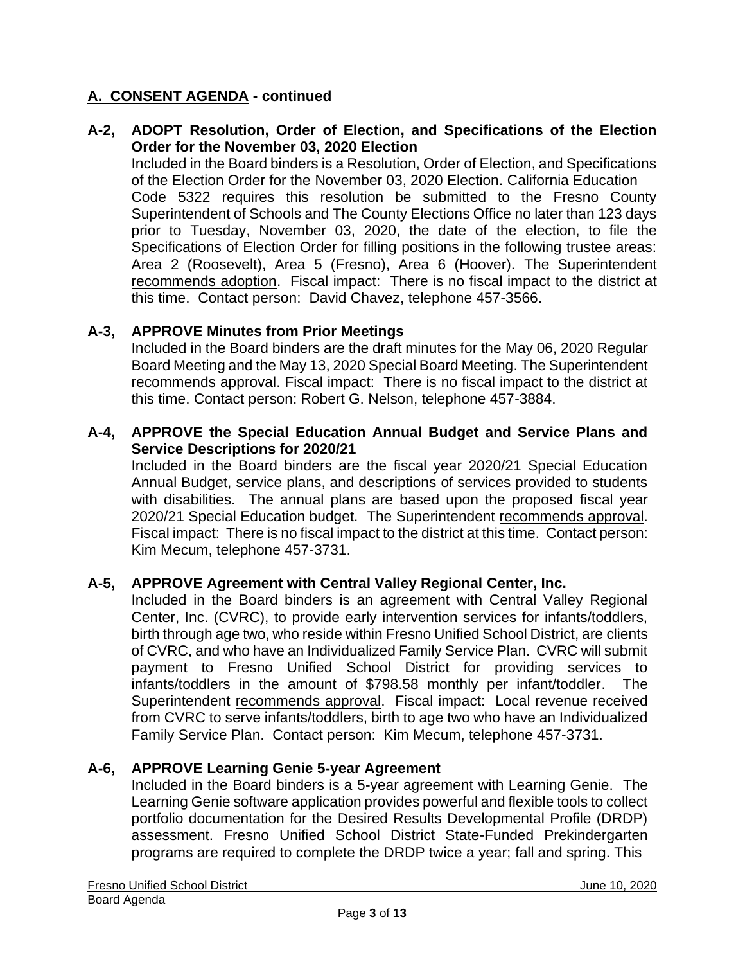### **A-2, ADOPT Resolution, Order of Election, and Specifications of the Election Order for the November 03, 2020 Election**

Included in the Board binders is a Resolution, Order of Election, and Specifications of the Election Order for the November 03, 2020 Election. California Education Code 5322 requires this resolution be submitted to the Fresno County Superintendent of Schools and The County Elections Office no later than 123 days prior to Tuesday, November 03, 2020, the date of the election, to file the Specifications of Election Order for filling positions in the following trustee areas: Area 2 (Roosevelt), Area 5 (Fresno), Area 6 (Hoover). The Superintendent recommends adoption. Fiscal impact: There is no fiscal impact to the district at this time. Contact person: David Chavez, telephone 457-3566.

### **A-3, APPROVE Minutes from Prior Meetings**

Included in the Board binders are the draft minutes for the May 06, 2020 Regular Board Meeting and the May 13, 2020 Special Board Meeting. The Superintendent recommends approval. Fiscal impact: There is no fiscal impact to the district at this time. Contact person: Robert G. Nelson, telephone 457-3884.

#### **A-4, APPROVE the Special Education Annual Budget and Service Plans and Service Descriptions for 2020/21**

Included in the Board binders are the fiscal year 2020/21 Special Education Annual Budget, service plans, and descriptions of services provided to students with disabilities. The annual plans are based upon the proposed fiscal year 2020/21 Special Education budget. The Superintendent recommends approval. Fiscal impact: There is no fiscal impact to the district at this time. Contact person: Kim Mecum, telephone 457-3731.

#### **A-5, APPROVE Agreement with Central Valley Regional Center, Inc.**

Included in the Board binders is an agreement with Central Valley Regional Center, Inc. (CVRC), to provide early intervention services for infants/toddlers, birth through age two, who reside within Fresno Unified School District, are clients of CVRC, and who have an Individualized Family Service Plan. CVRC will submit payment to Fresno Unified School District for providing services to infants/toddlers in the amount of \$798.58 monthly per infant/toddler. The Superintendent recommends approval. Fiscal impact: Local revenue received from CVRC to serve infants/toddlers, birth to age two who have an Individualized Family Service Plan. Contact person: Kim Mecum, telephone 457-3731.

### **A-6, APPROVE Learning Genie 5-year Agreement**

Included in the Board binders is a 5-year agreement with Learning Genie. The Learning Genie software application provides powerful and flexible tools to collect portfolio documentation for the Desired Results Developmental Profile (DRDP) assessment. Fresno Unified School District State-Funded Prekindergarten programs are required to complete the DRDP twice a year; fall and spring. This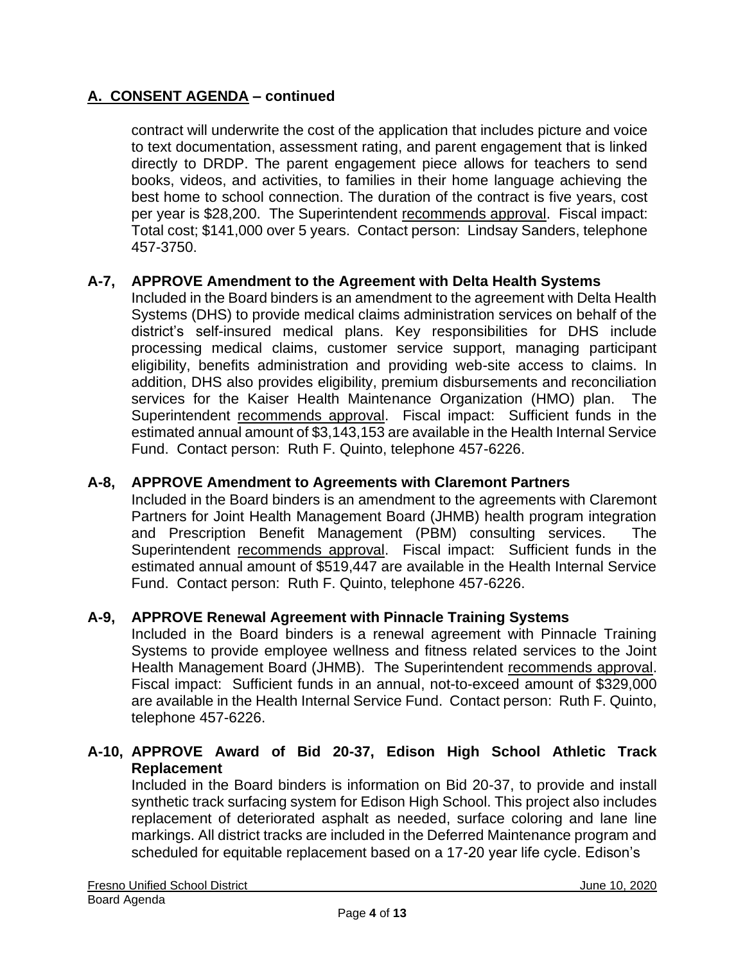contract will underwrite the cost of the application that includes picture and voice to text documentation, assessment rating, and parent engagement that is linked directly to DRDP. The parent engagement piece allows for teachers to send books, videos, and activities, to families in their home language achieving the best home to school connection. The duration of the contract is five years, cost per year is \$28,200. The Superintendent recommends approval. Fiscal impact: Total cost; \$141,000 over 5 years. Contact person: Lindsay Sanders, telephone 457-3750.

### **A-7, APPROVE Amendment to the Agreement with Delta Health Systems**

Included in the Board binders is an amendment to the agreement with Delta Health Systems (DHS) to provide medical claims administration services on behalf of the district's self-insured medical plans. Key responsibilities for DHS include processing medical claims, customer service support, managing participant eligibility, benefits administration and providing web-site access to claims. In addition, DHS also provides eligibility, premium disbursements and reconciliation services for the Kaiser Health Maintenance Organization (HMO) plan. The Superintendent recommends approval. Fiscal impact: Sufficient funds in the estimated annual amount of \$3,143,153 are available in the Health Internal Service Fund. Contact person: Ruth F. Quinto, telephone 457-6226.

#### **A-8, APPROVE Amendment to Agreements with Claremont Partners**

Included in the Board binders is an amendment to the agreements with Claremont Partners for Joint Health Management Board (JHMB) health program integration and Prescription Benefit Management (PBM) consulting services. The Superintendent recommends approval. Fiscal impact: Sufficient funds in the estimated annual amount of \$519,447 are available in the Health Internal Service Fund. Contact person: Ruth F. Quinto, telephone 457-6226.

#### **A-9, APPROVE Renewal Agreement with Pinnacle Training Systems**

Included in the Board binders is a renewal agreement with Pinnacle Training Systems to provide employee wellness and fitness related services to the Joint Health Management Board (JHMB). The Superintendent recommends approval. Fiscal impact: Sufficient funds in an annual, not-to-exceed amount of \$329,000 are available in the Health Internal Service Fund. Contact person: Ruth F. Quinto, telephone 457-6226.

### **A-10, APPROVE Award of Bid 20-37, Edison High School Athletic Track Replacement**

Included in the Board binders is information on Bid 20-37, to provide and install synthetic track surfacing system for Edison High School. This project also includes replacement of deteriorated asphalt as needed, surface coloring and lane line markings. All district tracks are included in the Deferred Maintenance program and scheduled for equitable replacement based on a 17-20 year life cycle. Edison's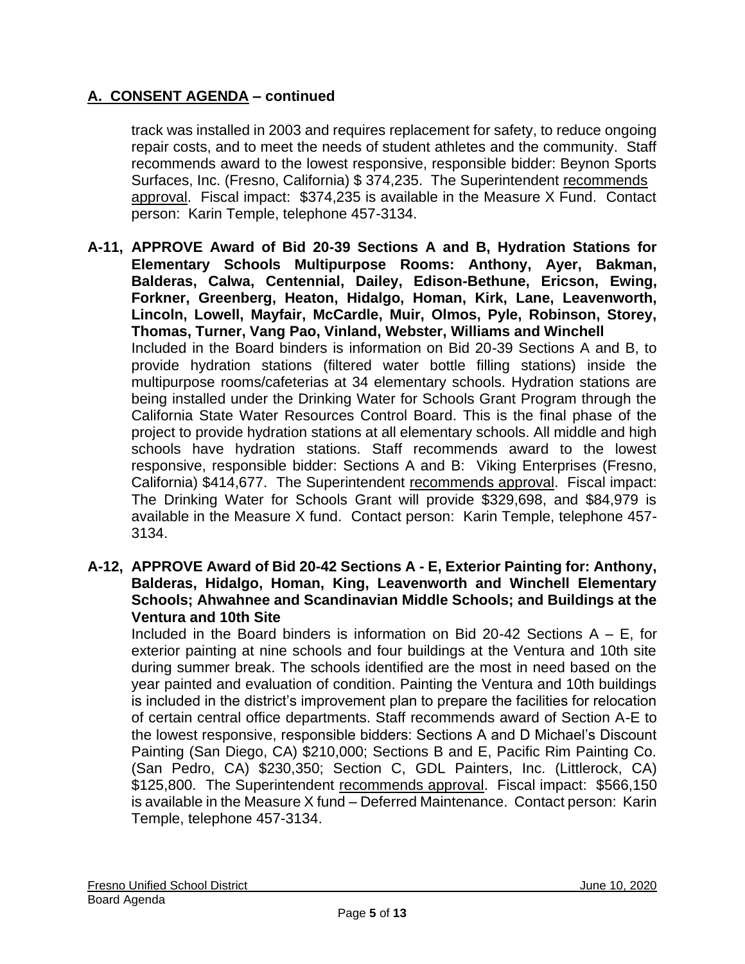track was installed in 2003 and requires replacement for safety, to reduce ongoing repair costs, and to meet the needs of student athletes and the community. Staff recommends award to the lowest responsive, responsible bidder: Beynon Sports Surfaces, Inc. (Fresno, California) \$ 374,235. The Superintendent recommends approval. Fiscal impact: \$374,235 is available in the Measure X Fund. Contact person: Karin Temple, telephone 457-3134.

- **A-11, APPROVE Award of Bid 20-39 Sections A and B, Hydration Stations for Elementary Schools Multipurpose Rooms: Anthony, Ayer, Bakman, Balderas, Calwa, Centennial, Dailey, Edison-Bethune, Ericson, Ewing, Forkner, Greenberg, Heaton, Hidalgo, Homan, Kirk, Lane, Leavenworth, Lincoln, Lowell, Mayfair, McCardle, Muir, Olmos, Pyle, Robinson, Storey, Thomas, Turner, Vang Pao, Vinland, Webster, Williams and Winchell** Included in the Board binders is information on Bid 20-39 Sections A and B, to provide hydration stations (filtered water bottle filling stations) inside the multipurpose rooms/cafeterias at 34 elementary schools. Hydration stations are being installed under the Drinking Water for Schools Grant Program through the California State Water Resources Control Board. This is the final phase of the project to provide hydration stations at all elementary schools. All middle and high schools have hydration stations. Staff recommends award to the lowest responsive, responsible bidder: Sections A and B: Viking Enterprises (Fresno, California) \$414,677. The Superintendent recommends approval. Fiscal impact: The Drinking Water for Schools Grant will provide \$329,698, and \$84,979 is available in the Measure X fund. Contact person: Karin Temple, telephone 457- 3134.
- **A-12, APPROVE Award of Bid 20-42 Sections A - E, Exterior Painting for: Anthony, Balderas, Hidalgo, Homan, King, Leavenworth and Winchell Elementary Schools; Ahwahnee and Scandinavian Middle Schools; and Buildings at the Ventura and 10th Site**

Included in the Board binders is information on Bid 20-42 Sections  $A - E$ , for exterior painting at nine schools and four buildings at the Ventura and 10th site during summer break. The schools identified are the most in need based on the year painted and evaluation of condition. Painting the Ventura and 10th buildings is included in the district's improvement plan to prepare the facilities for relocation of certain central office departments. Staff recommends award of Section A-E to the lowest responsive, responsible bidders: Sections A and D Michael's Discount Painting (San Diego, CA) \$210,000; Sections B and E, Pacific Rim Painting Co. (San Pedro, CA) \$230,350; Section C, GDL Painters, Inc. (Littlerock, CA) \$125,800. The Superintendent recommends approval. Fiscal impact: \$566,150 is available in the Measure X fund – Deferred Maintenance. Contact person: Karin Temple, telephone 457-3134.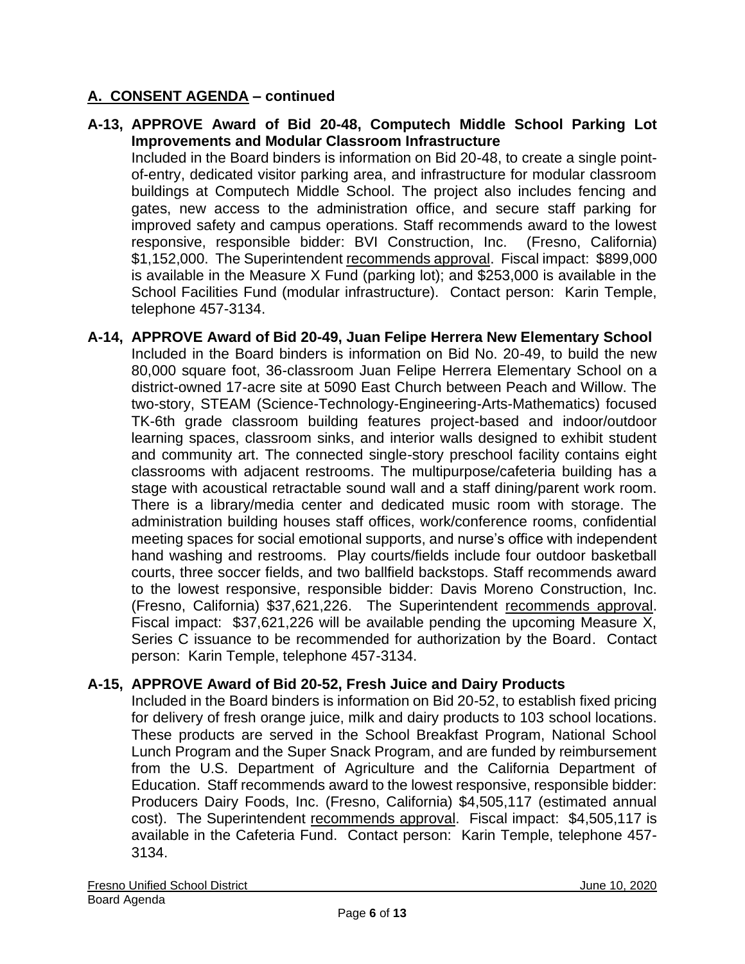**A-13, APPROVE Award of Bid 20-48, Computech Middle School Parking Lot Improvements and Modular Classroom Infrastructure**

Included in the Board binders is information on Bid 20-48, to create a single pointof-entry, dedicated visitor parking area, and infrastructure for modular classroom buildings at Computech Middle School. The project also includes fencing and gates, new access to the administration office, and secure staff parking for improved safety and campus operations. Staff recommends award to the lowest responsive, responsible bidder: BVI Construction, Inc. (Fresno, California) \$1,152,000. The Superintendent recommends approval. Fiscal impact: \$899,000 is available in the Measure X Fund (parking lot); and \$253,000 is available in the School Facilities Fund (modular infrastructure). Contact person: Karin Temple, telephone 457-3134.

**A-14, APPROVE Award of Bid 20-49, Juan Felipe Herrera New Elementary School** Included in the Board binders is information on Bid No. 20-49, to build the new 80,000 square foot, 36-classroom Juan Felipe Herrera Elementary School on a district-owned 17-acre site at 5090 East Church between Peach and Willow. The two-story, STEAM (Science-Technology-Engineering-Arts-Mathematics) focused TK-6th grade classroom building features project-based and indoor/outdoor learning spaces, classroom sinks, and interior walls designed to exhibit student and community art. The connected single-story preschool facility contains eight classrooms with adjacent restrooms. The multipurpose/cafeteria building has a stage with acoustical retractable sound wall and a staff dining/parent work room. There is a library/media center and dedicated music room with storage. The administration building houses staff offices, work/conference rooms, confidential meeting spaces for social emotional supports, and nurse's office with independent hand washing and restrooms. Play courts/fields include four outdoor basketball courts, three soccer fields, and two ballfield backstops. Staff recommends award to the lowest responsive, responsible bidder: Davis Moreno Construction, Inc. (Fresno, California) \$37,621,226. The Superintendent recommends approval. Fiscal impact: \$37,621,226 will be available pending the upcoming Measure X, Series C issuance to be recommended for authorization by the Board. Contact person: Karin Temple, telephone 457-3134.

### **A-15, APPROVE Award of Bid 20-52, Fresh Juice and Dairy Products**

Included in the Board binders is information on Bid 20-52, to establish fixed pricing for delivery of fresh orange juice, milk and dairy products to 103 school locations. These products are served in the School Breakfast Program, National School Lunch Program and the Super Snack Program, and are funded by reimbursement from the U.S. Department of Agriculture and the California Department of Education. Staff recommends award to the lowest responsive, responsible bidder: Producers Dairy Foods, Inc. (Fresno, California) \$4,505,117 (estimated annual cost). The Superintendent recommends approval. Fiscal impact: \$4,505,117 is available in the Cafeteria Fund. Contact person: Karin Temple, telephone 457- 3134.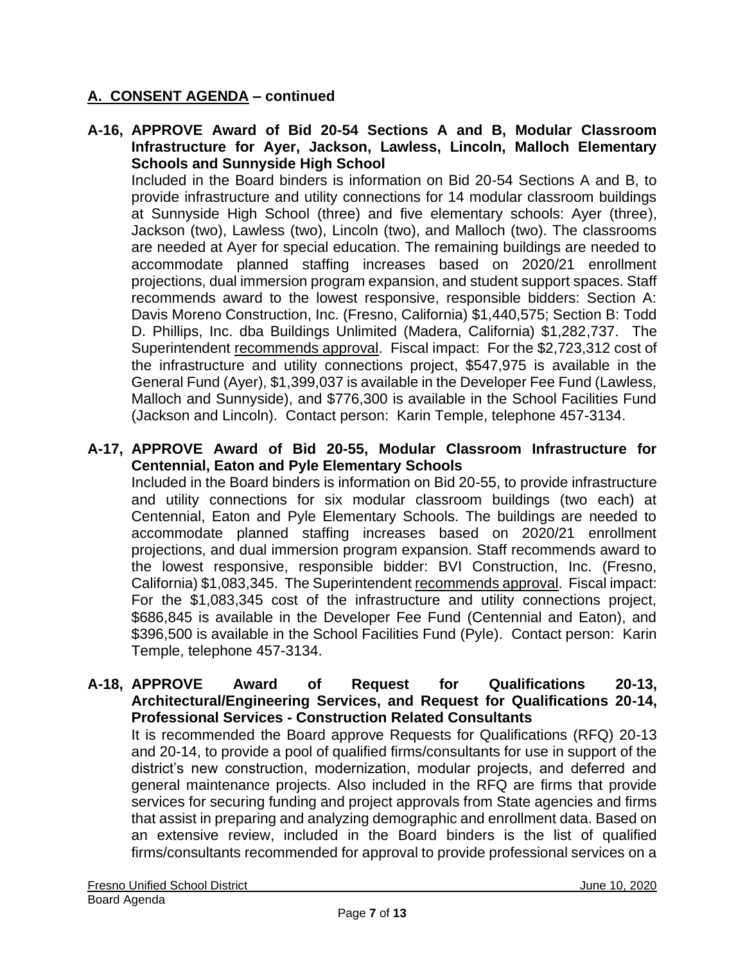**A-16, APPROVE Award of Bid 20-54 Sections A and B, Modular Classroom Infrastructure for Ayer, Jackson, Lawless, Lincoln, Malloch Elementary Schools and Sunnyside High School**

Included in the Board binders is information on Bid 20-54 Sections A and B, to provide infrastructure and utility connections for 14 modular classroom buildings at Sunnyside High School (three) and five elementary schools: Ayer (three), Jackson (two), Lawless (two), Lincoln (two), and Malloch (two). The classrooms are needed at Ayer for special education. The remaining buildings are needed to accommodate planned staffing increases based on 2020/21 enrollment projections, dual immersion program expansion, and student support spaces. Staff recommends award to the lowest responsive, responsible bidders: Section A: Davis Moreno Construction, Inc. (Fresno, California) \$1,440,575; Section B: Todd D. Phillips, Inc. dba Buildings Unlimited (Madera, California) \$1,282,737. The Superintendent recommends approval. Fiscal impact: For the \$2,723,312 cost of the infrastructure and utility connections project, \$547,975 is available in the General Fund (Ayer), \$1,399,037 is available in the Developer Fee Fund (Lawless, Malloch and Sunnyside), and \$776,300 is available in the School Facilities Fund (Jackson and Lincoln). Contact person: Karin Temple, telephone 457-3134.

### **A-17, APPROVE Award of Bid 20-55, Modular Classroom Infrastructure for Centennial, Eaton and Pyle Elementary Schools**

Included in the Board binders is information on Bid 20-55, to provide infrastructure and utility connections for six modular classroom buildings (two each) at Centennial, Eaton and Pyle Elementary Schools. The buildings are needed to accommodate planned staffing increases based on 2020/21 enrollment projections, and dual immersion program expansion. Staff recommends award to the lowest responsive, responsible bidder: BVI Construction, Inc. (Fresno, California) \$1,083,345. The Superintendent recommends approval. Fiscal impact: For the \$1,083,345 cost of the infrastructure and utility connections project, \$686,845 is available in the Developer Fee Fund (Centennial and Eaton), and \$396,500 is available in the School Facilities Fund (Pyle). Contact person: Karin Temple, telephone 457-3134.

#### **A-18, APPROVE Award of Request for Qualifications 20-13, Architectural/Engineering Services, and Request for Qualifications 20-14, Professional Services - Construction Related Consultants**

It is recommended the Board approve Requests for Qualifications (RFQ) 20-13 and 20-14, to provide a pool of qualified firms/consultants for use in support of the district's new construction, modernization, modular projects, and deferred and general maintenance projects. Also included in the RFQ are firms that provide services for securing funding and project approvals from State agencies and firms that assist in preparing and analyzing demographic and enrollment data. Based on an extensive review, included in the Board binders is the list of qualified firms/consultants recommended for approval to provide professional services on a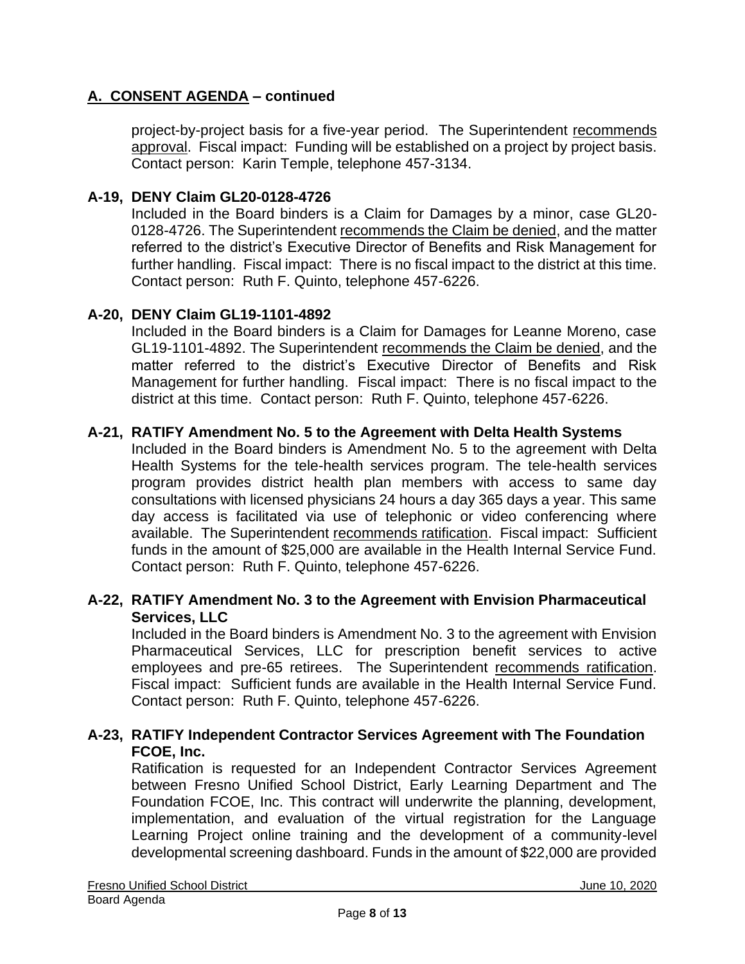project-by-project basis for a five-year period. The Superintendent recommends approval. Fiscal impact: Funding will be established on a project by project basis. Contact person: Karin Temple, telephone 457-3134.

#### **A-19, DENY Claim GL20-0128-4726**

Included in the Board binders is a Claim for Damages by a minor, case GL20- 0128-4726. The Superintendent recommends the Claim be denied, and the matter referred to the district's Executive Director of Benefits and Risk Management for further handling. Fiscal impact: There is no fiscal impact to the district at this time. Contact person: Ruth F. Quinto, telephone 457-6226.

### **A-20, DENY Claim GL19-1101-4892**

Included in the Board binders is a Claim for Damages for Leanne Moreno, case GL19-1101-4892. The Superintendent recommends the Claim be denied, and the matter referred to the district's Executive Director of Benefits and Risk Management for further handling. Fiscal impact: There is no fiscal impact to the district at this time. Contact person: Ruth F. Quinto, telephone 457-6226.

#### **A-21, RATIFY Amendment No. 5 to the Agreement with Delta Health Systems**

Included in the Board binders is Amendment No. 5 to the agreement with Delta Health Systems for the tele-health services program. The tele-health services program provides district health plan members with access to same day consultations with licensed physicians 24 hours a day 365 days a year. This same day access is facilitated via use of telephonic or video conferencing where available. The Superintendent recommends ratification. Fiscal impact: Sufficient funds in the amount of \$25,000 are available in the Health Internal Service Fund. Contact person: Ruth F. Quinto, telephone 457-6226.

### **A-22, RATIFY Amendment No. 3 to the Agreement with Envision Pharmaceutical Services, LLC**

Included in the Board binders is Amendment No. 3 to the agreement with Envision Pharmaceutical Services, LLC for prescription benefit services to active employees and pre-65 retirees. The Superintendent recommends ratification. Fiscal impact: Sufficient funds are available in the Health Internal Service Fund. Contact person: Ruth F. Quinto, telephone 457-6226.

### **A-23, RATIFY Independent Contractor Services Agreement with The Foundation FCOE, Inc.**

Ratification is requested for an Independent Contractor Services Agreement between Fresno Unified School District, Early Learning Department and The Foundation FCOE, Inc. This contract will underwrite the planning, development, implementation, and evaluation of the virtual registration for the Language Learning Project online training and the development of a community-level developmental screening dashboard. Funds in the amount of \$22,000 are provided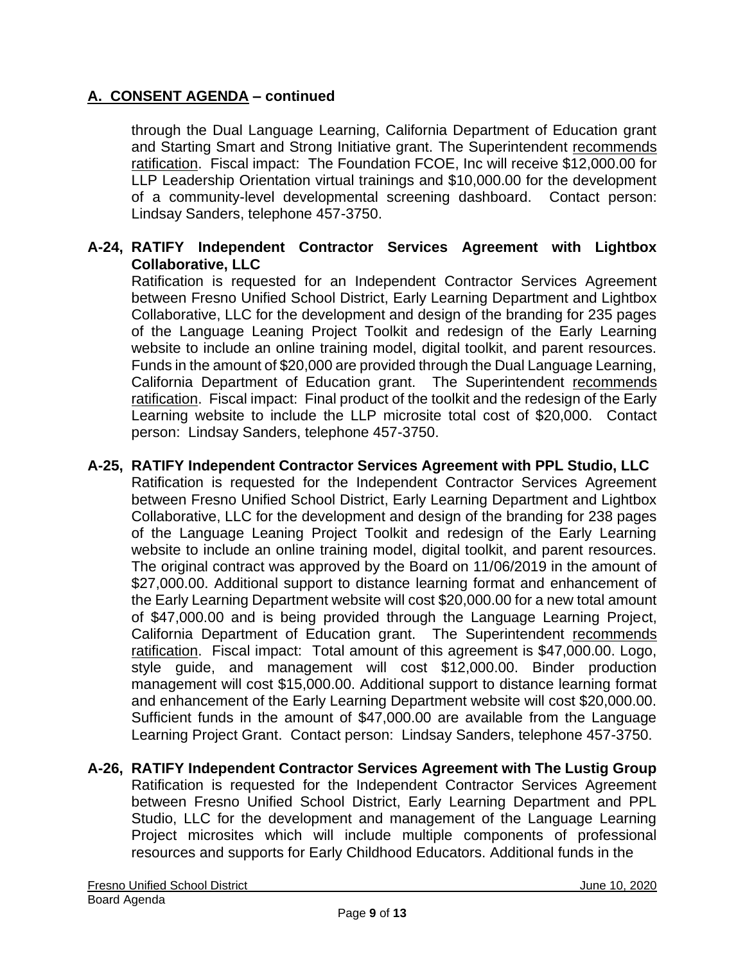through the Dual Language Learning, California Department of Education grant and Starting Smart and Strong Initiative grant. The Superintendent recommends ratification. Fiscal impact: The Foundation FCOE, Inc will receive \$12,000.00 for LLP Leadership Orientation virtual trainings and \$10,000.00 for the development of a community-level developmental screening dashboard. Contact person: Lindsay Sanders, telephone 457-3750.

### **A-24, RATIFY Independent Contractor Services Agreement with Lightbox Collaborative, LLC**

Ratification is requested for an Independent Contractor Services Agreement between Fresno Unified School District, Early Learning Department and Lightbox Collaborative, LLC for the development and design of the branding for 235 pages of the Language Leaning Project Toolkit and redesign of the Early Learning website to include an online training model, digital toolkit, and parent resources. Funds in the amount of \$20,000 are provided through the Dual Language Learning, California Department of Education grant. The Superintendent recommends ratification. Fiscal impact: Final product of the toolkit and the redesign of the Early Learning website to include the LLP microsite total cost of \$20,000. Contact person: Lindsay Sanders, telephone 457-3750.

### **A-25, RATIFY Independent Contractor Services Agreement with PPL Studio, LLC**

Ratification is requested for the Independent Contractor Services Agreement between Fresno Unified School District, Early Learning Department and Lightbox Collaborative, LLC for the development and design of the branding for 238 pages of the Language Leaning Project Toolkit and redesign of the Early Learning website to include an online training model, digital toolkit, and parent resources. The original contract was approved by the Board on 11/06/2019 in the amount of \$27,000.00. Additional support to distance learning format and enhancement of the Early Learning Department website will cost \$20,000.00 for a new total amount of \$47,000.00 and is being provided through the Language Learning Project, California Department of Education grant. The Superintendent recommends ratification. Fiscal impact: Total amount of this agreement is \$47,000.00. Logo, style guide, and management will cost \$12,000.00. Binder production management will cost \$15,000.00. Additional support to distance learning format and enhancement of the Early Learning Department website will cost \$20,000.00. Sufficient funds in the amount of \$47,000.00 are available from the Language Learning Project Grant. Contact person: Lindsay Sanders, telephone 457-3750.

**A-26, RATIFY Independent Contractor Services Agreement with The Lustig Group** Ratification is requested for the Independent Contractor Services Agreement between Fresno Unified School District, Early Learning Department and PPL Studio, LLC for the development and management of the Language Learning Project microsites which will include multiple components of professional resources and supports for Early Childhood Educators. Additional funds in the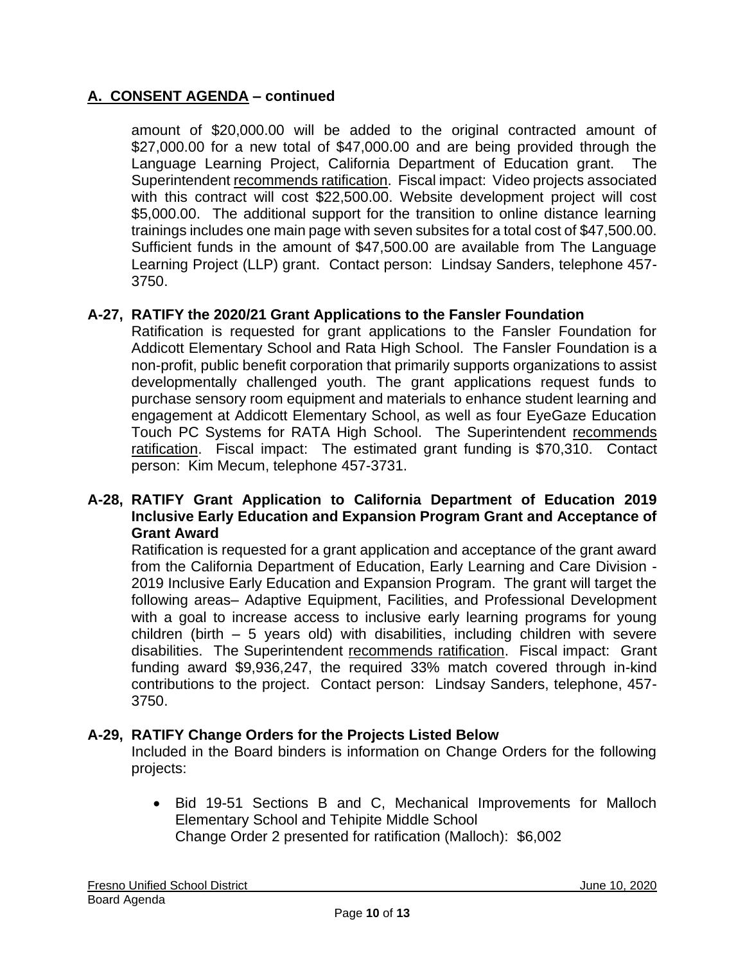amount of \$20,000.00 will be added to the original contracted amount of \$27,000.00 for a new total of \$47,000.00 and are being provided through the Language Learning Project, California Department of Education grant. The Superintendent recommends ratification. Fiscal impact: Video projects associated with this contract will cost \$22,500.00. Website development project will cost \$5,000.00. The additional support for the transition to online distance learning trainings includes one main page with seven subsites for a total cost of \$47,500.00. Sufficient funds in the amount of \$47,500.00 are available from The Language Learning Project (LLP) grant. Contact person: Lindsay Sanders, telephone 457- 3750.

### **A-27, RATIFY the 2020/21 Grant Applications to the Fansler Foundation**

Ratification is requested for grant applications to the Fansler Foundation for Addicott Elementary School and Rata High School. The Fansler Foundation is a non-profit, public benefit corporation that primarily supports organizations to assist developmentally challenged youth. The grant applications request funds to purchase sensory room equipment and materials to enhance student learning and engagement at Addicott Elementary School, as well as four EyeGaze Education Touch PC Systems for RATA High School. The Superintendent recommends ratification. Fiscal impact: The estimated grant funding is \$70,310. Contact person: Kim Mecum, telephone 457-3731.

#### **A-28, RATIFY Grant Application to California Department of Education 2019 Inclusive Early Education and Expansion Program Grant and Acceptance of Grant Award**

Ratification is requested for a grant application and acceptance of the grant award from the California Department of Education, Early Learning and Care Division - 2019 Inclusive Early Education and Expansion Program. The grant will target the following areas– Adaptive Equipment, Facilities, and Professional Development with a goal to increase access to inclusive early learning programs for young children (birth – 5 years old) with disabilities, including children with severe disabilities. The Superintendent recommends ratification. Fiscal impact: Grant funding award \$9,936,247, the required 33% match covered through in-kind contributions to the project. Contact person: Lindsay Sanders, telephone, 457- 3750.

### **A-29, RATIFY Change Orders for the Projects Listed Below**

Included in the Board binders is information on Change Orders for the following projects:

• Bid 19-51 Sections B and C, Mechanical Improvements for Malloch Elementary School and Tehipite Middle School Change Order 2 presented for ratification (Malloch): \$6,002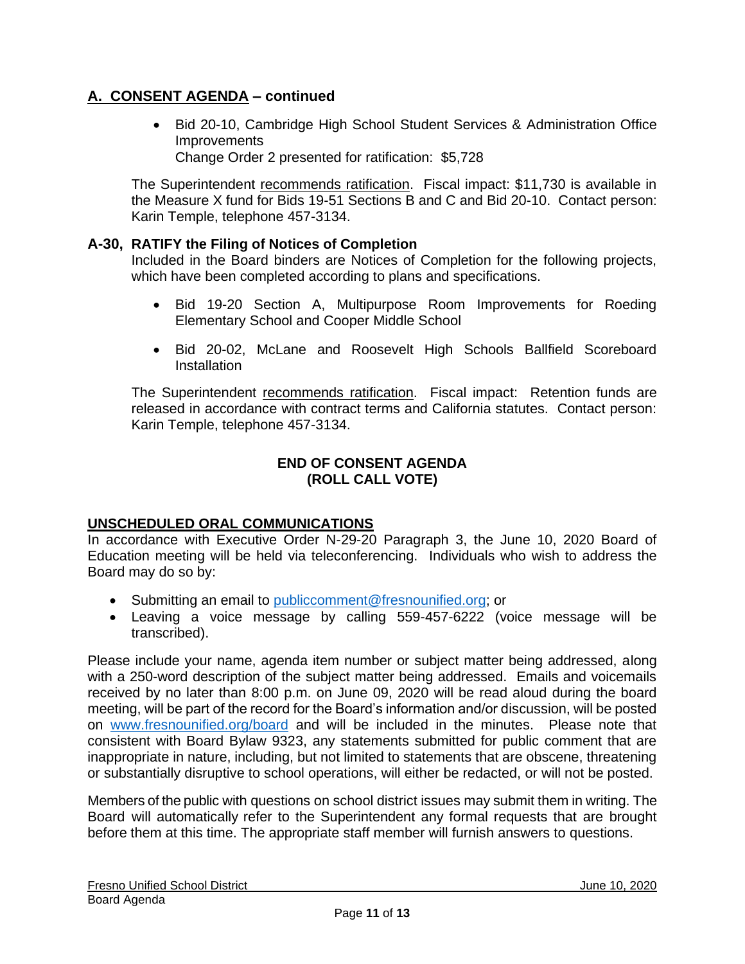• Bid 20-10, Cambridge High School Student Services & Administration Office **Improvements** Change Order 2 presented for ratification: \$5,728

The Superintendent recommends ratification. Fiscal impact: \$11,730 is available in the Measure X fund for Bids 19-51 Sections B and C and Bid 20-10. Contact person: Karin Temple, telephone 457-3134.

### **A-30, RATIFY the Filing of Notices of Completion**

Included in the Board binders are Notices of Completion for the following projects, which have been completed according to plans and specifications.

- Bid 19-20 Section A, Multipurpose Room Improvements for Roeding Elementary School and Cooper Middle School
- Bid 20-02, McLane and Roosevelt High Schools Ballfield Scoreboard **Installation**

The Superintendent recommends ratification. Fiscal impact: Retention funds are released in accordance with contract terms and California statutes. Contact person: Karin Temple, telephone 457-3134.

#### **END OF CONSENT AGENDA (ROLL CALL VOTE)**

#### **UNSCHEDULED ORAL COMMUNICATIONS**

In accordance with Executive Order N-29-20 Paragraph 3, the June 10, 2020 Board of Education meeting will be held via teleconferencing. Individuals who wish to address the Board may do so by:

- Submitting an email to [publiccomment@fresnounified.org;](mailto:publiccomment@fresnounified.org) or
- Leaving a voice message by calling 559-457-6222 (voice message will be transcribed).

Please include your name, agenda item number or subject matter being addressed, along with a 250-word description of the subject matter being addressed. Emails and voicemails received by no later than 8:00 p.m. on June 09, 2020 will be read aloud during the board meeting, will be part of the record for the Board's information and/or discussion, will be posted on [www.fresnounified.org/board](http://www.fresnounified.org/board) and will be included in the minutes. Please note that consistent with Board Bylaw 9323, any statements submitted for public comment that are inappropriate in nature, including, but not limited to statements that are obscene, threatening or substantially disruptive to school operations, will either be redacted, or will not be posted.

Members of the public with questions on school district issues may submit them in writing. The Board will automatically refer to the Superintendent any formal requests that are brought before them at this time. The appropriate staff member will furnish answers to questions.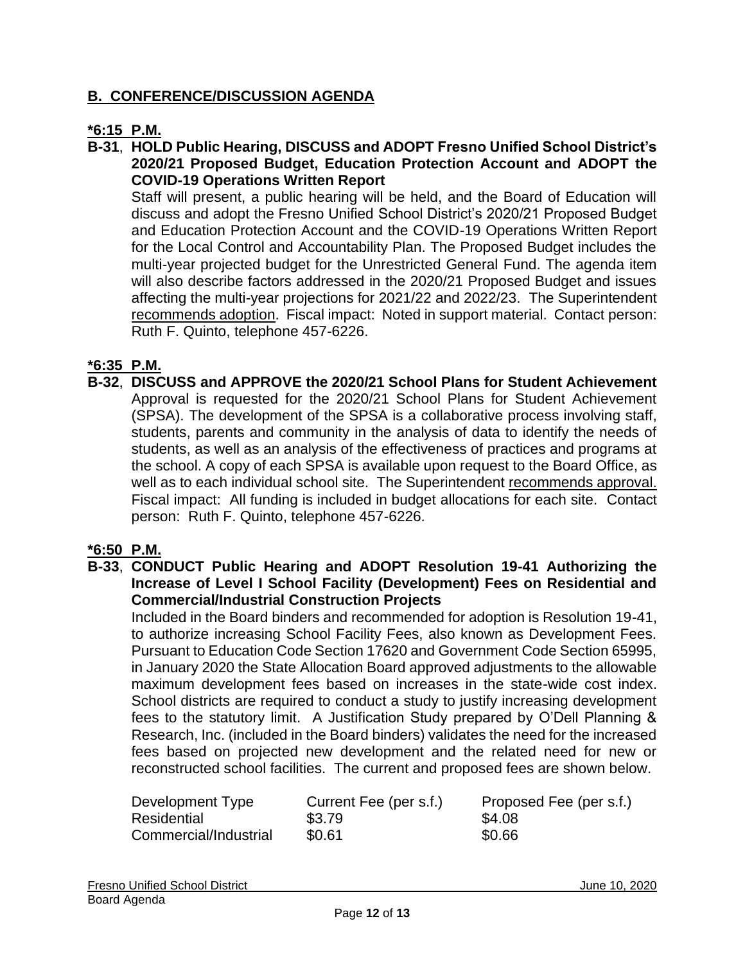## **B. CONFERENCE/DISCUSSION AGENDA**

### **\*6:15 P.M.**

**B-31**, **HOLD Public Hearing, DISCUSS and ADOPT Fresno Unified School District's 2020/21 Proposed Budget, Education Protection Account and ADOPT the COVID-19 Operations Written Report**

Staff will present, a public hearing will be held, and the Board of Education will discuss and adopt the Fresno Unified School District's 2020/21 Proposed Budget and Education Protection Account and the COVID-19 Operations Written Report for the Local Control and Accountability Plan. The Proposed Budget includes the multi-year projected budget for the Unrestricted General Fund. The agenda item will also describe factors addressed in the 2020/21 Proposed Budget and issues affecting the multi-year projections for 2021/22 and 2022/23. The Superintendent recommends adoption. Fiscal impact: Noted in support material. Contact person: Ruth F. Quinto, telephone 457-6226.

### **\*6:35 P.M.**

**B-32**, **DISCUSS and APPROVE the 2020/21 School Plans for Student Achievement** Approval is requested for the 2020/21 School Plans for Student Achievement (SPSA). The development of the SPSA is a collaborative process involving staff, students, parents and community in the analysis of data to identify the needs of students, as well as an analysis of the effectiveness of practices and programs at the school. A copy of each SPSA is available upon request to the Board Office, as well as to each individual school site. The Superintendent recommends approval. Fiscal impact: All funding is included in budget allocations for each site. Contact person: Ruth F. Quinto, telephone 457-6226.

#### **\*6:50 P.M.**

**B-33**, **CONDUCT Public Hearing and ADOPT Resolution 19-41 Authorizing the Increase of Level I School Facility (Development) Fees on Residential and Commercial/Industrial Construction Projects**

Included in the Board binders and recommended for adoption is Resolution 19-41, to authorize increasing School Facility Fees, also known as Development Fees. Pursuant to Education Code Section 17620 and Government Code Section 65995, in January 2020 the State Allocation Board approved adjustments to the allowable maximum development fees based on increases in the state-wide cost index. School districts are required to conduct a study to justify increasing development fees to the statutory limit. A Justification Study prepared by O'Dell Planning & Research, Inc. (included in the Board binders) validates the need for the increased fees based on projected new development and the related need for new or reconstructed school facilities. The current and proposed fees are shown below.

| Development Type      | Current Fee (per s.f.) | Proposed Fee (per s.f.) |
|-----------------------|------------------------|-------------------------|
| Residential           | \$3.79                 | \$4.08                  |
| Commercial/Industrial | \$0.61                 | \$0.66                  |